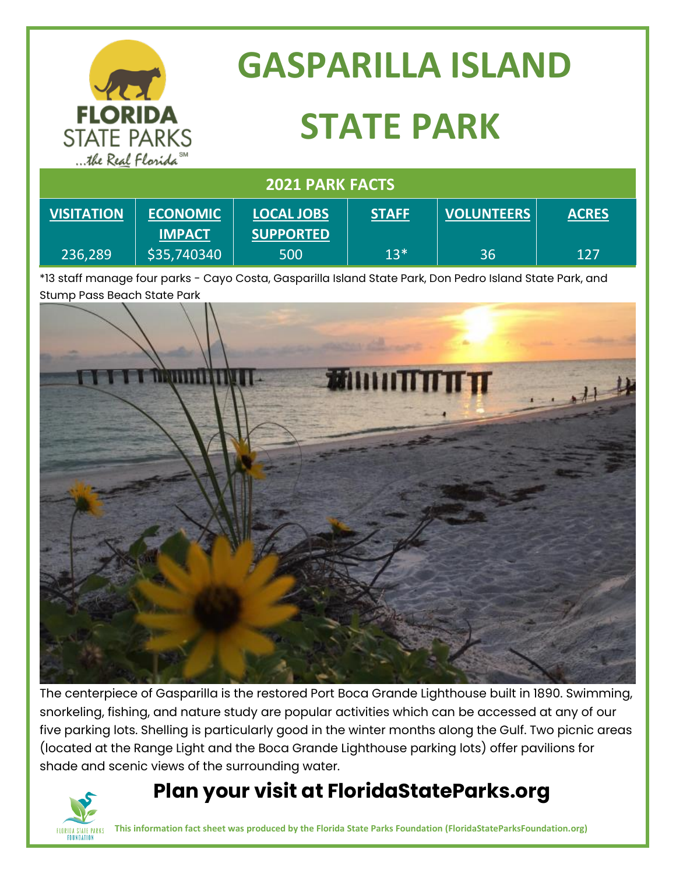|                                                                        |                                  | <b>GASPARILLA ISLAND</b>              |              |                   |              |
|------------------------------------------------------------------------|----------------------------------|---------------------------------------|--------------|-------------------|--------------|
| <b>FLORIDA</b><br><b>STATE PARKS</b><br>the Real Florida <sup>SM</sup> |                                  | <b>STATE PARK</b>                     |              |                   |              |
| <b>2021 PARK FACTS</b>                                                 |                                  |                                       |              |                   |              |
| <b>VISITATION</b>                                                      | <b>ECONOMIC</b><br><b>IMPACT</b> | <b>LOCAL JOBS</b><br><b>SUPPORTED</b> | <b>STAFF</b> | <b>VOLUNTEERS</b> | <b>ACRES</b> |
| 236,289                                                                | \$35,740340                      | 500                                   | $13*$        | 36                | 127          |

\*13 staff manage four parks - Cayo Costa, Gasparilla Island State Park, Don Pedro Island State Park, and Stump Pass Beach State Park



The centerpiece of Gasparilla is the restored Port Boca Grande Lighthouse built in 1890. Swimming, snorkeling, fishing, and nature study are popular activities which can be accessed at any of our five parking lots. Shelling is particularly good in the winter months along the Gulf. Two picnic areas (located at the Range Light and the Boca Grande Lighthouse parking lots) offer pavilions for shade and scenic views of the surrounding water.

#### **Plan your visit at FloridaStateParks.org**



**This information fact sheet was produced by the Florida State Parks Foundation (FloridaStateParksFoundation.org)**